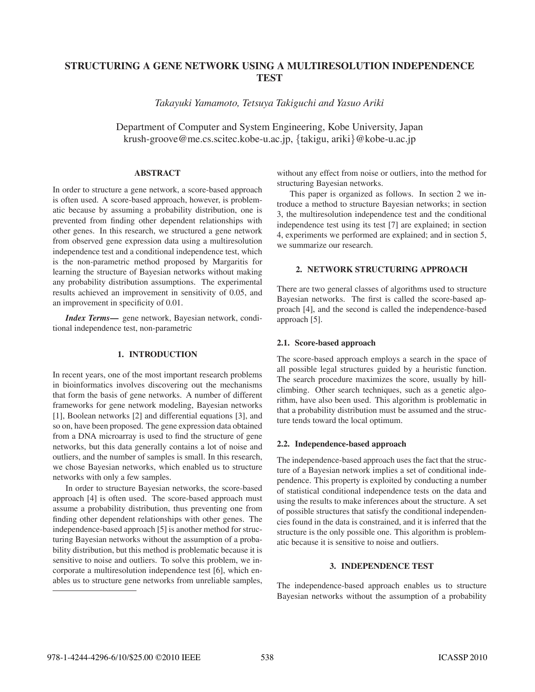# **STRUCTURING A GENE NETWORK USING A MULTIRESOLUTION INDEPENDENCE TEST**

*Takayuki Yamamoto, Tetsuya Takiguchi and Yasuo Ariki*

Department of Computer and System Engineering, Kobe University, Japan krush-groove@me.cs.scitec.kobe-u.ac.jp, {takigu, ariki}@kobe-u.ac.jp

# **ABSTRACT**

In order to structure a gene network, a score-based approach is often used. A score-based approach, however, is problematic because by assuming a probability distribution, one is prevented from finding other dependent relationships with other genes. In this research, we structured a gene network from observed gene expression data using a multiresolution independence test and a conditional independence test, which is the non-parametric method proposed by Margaritis for learning the structure of Bayesian networks without making any probability distribution assumptions. The experimental results achieved an improvement in sensitivity of 0.05, and an improvement in specificity of 0.01.

*Index Terms***—** gene network, Bayesian network, conditional independence test, non-parametric

# **1. INTRODUCTION**

In recent years, one of the most important research problems in bioinformatics involves discovering out the mechanisms that form the basis of gene networks. A number of different frameworks for gene network modeling, Bayesian networks [1], Boolean networks [2] and differential equations [3], and so on, have been proposed. The gene expression data obtained from a DNA microarray is used to find the structure of gene networks, but this data generally contains a lot of noise and outliers, and the number of samples is small. In this research, we chose Bayesian networks, which enabled us to structure networks with only a few samples.

In order to structure Bayesian networks, the score-based approach [4] is often used. The score-based approach must assume a probability distribution, thus preventing one from finding other dependent relationships with other genes. The independence-based approach [5] is another method for structuring Bayesian networks without the assumption of a probability distribution, but this method is problematic because it is sensitive to noise and outliers. To solve this problem, we incorporate a multiresolution independence test [6], which enables us to structure gene networks from unreliable samples,

without any effect from noise or outliers, into the method for structuring Bayesian networks.

This paper is organized as follows. In section 2 we introduce a method to structure Bayesian networks; in section 3, the multiresolution independence test and the conditional independence test using its test [7] are explained; in section 4, experiments we performed are explained; and in section 5, we summarize our research.

# **2. NETWORK STRUCTURING APPROACH**

There are two general classes of algorithms used to structure Bayesian networks. The first is called the score-based approach [4], and the second is called the independence-based approach [5].

## **2.1. Score-based approach**

The score-based approach employs a search in the space of all possible legal structures guided by a heuristic function. The search procedure maximizes the score, usually by hillclimbing. Other search techniques, such as a genetic algorithm, have also been used. This algorithm is problematic in that a probability distribution must be assumed and the structure tends toward the local optimum.

## **2.2. Independence-based approach**

The independence-based approach uses the fact that the structure of a Bayesian network implies a set of conditional independence. This property is exploited by conducting a number of statistical conditional independence tests on the data and using the results to make inferences about the structure. A set of possible structures that satisfy the conditional independencies found in the data is constrained, and it is inferred that the structure is the only possible one. This algorithm is problematic because it is sensitive to noise and outliers.

## **3. INDEPENDENCE TEST**

The independence-based approach enables us to structure Bayesian networks without the assumption of a probability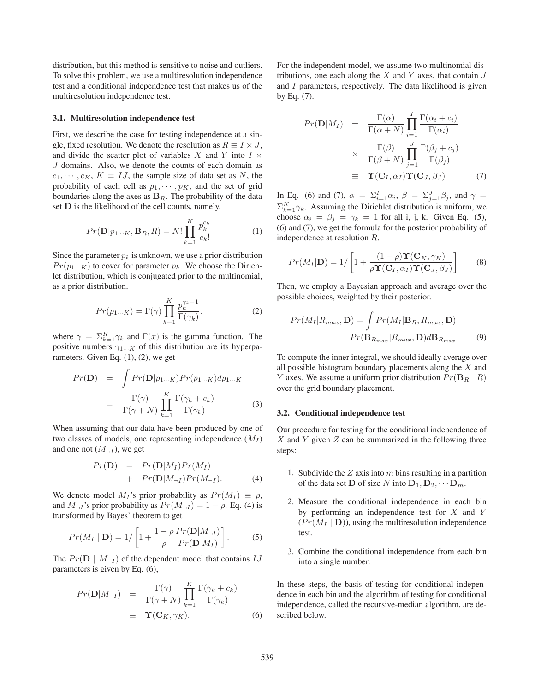distribution, but this method is sensitive to noise and outliers. To solve this problem, we use a multiresolution independence test and a conditional independence test that makes us of the multiresolution independence test.

#### **3.1. Multiresolution independence test**

First, we describe the case for testing independence at a single, fixed resolution. We denote the resolution as  $R \equiv I \times J$ , and divide the scatter plot of variables X and Y into  $I \times$ J domains. Also, we denote the counts of each domain as  $c_1, \dots, c_K, K \equiv IJ$ , the sample size of data set as N, the probability of each cell as  $p_1, \dots, p_K$ , and the set of grid boundaries along the axes as  $B_R$ . The probability of the data set **D** is the likelihood of the cell counts, namely,

$$
Pr(\mathbf{D}|p_{1\cdots K}, \mathbf{B}_{R}, R) = N! \prod_{k=1}^{K} \frac{p_{k}^{c_{k}}}{c_{k}!}
$$
 (1)

Since the parameter  $p_k$  is unknown, we use a prior distribution  $Pr(p_1...K)$  to cover for parameter  $p_k$ . We choose the Dirichlet distribution, which is conjugated prior to the multinomial, as a prior distribution.

$$
Pr(p_{1\cdots K}) = \Gamma(\gamma) \prod_{k=1}^{K} \frac{p_k^{\gamma_k - 1}}{\Gamma(\gamma_k)}.
$$
 (2)

where  $\gamma = \sum_{k=1}^{K} \gamma_k$  and  $\Gamma(x)$  is the gamma function. The positive numbers  $\gamma_{1\cdots K}$  of this distribution are its hyperparameters. Given Eq.  $(1)$ ,  $(2)$ , we get

$$
Pr(\mathbf{D}) = \int Pr(\mathbf{D}|p_{1\cdots K}) Pr(p_{1\cdots K}) dp_{1\cdots K}
$$

$$
= \frac{\Gamma(\gamma)}{\Gamma(\gamma + N)} \prod_{k=1}^{K} \frac{\Gamma(\gamma_k + c_k)}{\Gamma(\gamma_k)} \tag{3}
$$

When assuming that our data have been produced by one of two classes of models, one representing independence  $(M_I)$ and one not  $(M_{\neg I})$ , we get

$$
Pr(\mathbf{D}) = Pr(\mathbf{D}|M_I)Pr(M_I) + Pr(\mathbf{D}|M_{\neg I})Pr(M_{\neg I}).
$$
\n(4)

We denote model  $M_I$ 's prior probability as  $Pr(M_I) \equiv \rho$ , and  $M_{\neg I}$ 's prior probability as  $Pr(M_{\neg I})=1 - \rho$ . Eq. (4) is transformed by Bayes' theorem to get

$$
Pr(M_I | \mathbf{D}) = 1 / \left[ 1 + \frac{1 - \rho}{\rho} \frac{Pr(\mathbf{D}|M_{\neg I})}{Pr(\mathbf{D}|M_I)} \right].
$$
 (5)

The  $Pr(\mathbf{D} \mid M_{\neg I})$  of the dependent model that contains  $IJ$ parameters is given by Eq. (6),

$$
Pr(\mathbf{D}|M_{\neg I}) = \frac{\Gamma(\gamma)}{\Gamma(\gamma+N)} \prod_{k=1}^{K} \frac{\Gamma(\gamma_k + c_k)}{\Gamma(\gamma_k)}
$$
  
\n
$$
\equiv \mathbf{\Upsilon}(\mathbf{C}_K, \gamma_K).
$$
 (6)

For the independent model, we assume two multinomial distributions, one each along the  $X$  and  $Y$  axes, that contain  $J$ and  $I$  parameters, respectively. The data likelihood is given by Eq. (7).

$$
Pr(\mathbf{D}|M_I) = \frac{\Gamma(\alpha)}{\Gamma(\alpha+N)} \prod_{i=1}^{I} \frac{\Gamma(\alpha_i + c_i)}{\Gamma(\alpha_i)}
$$
  
 
$$
\times \frac{\Gamma(\beta)}{\Gamma(\beta+N)} \prod_{j=1}^{J} \frac{\Gamma(\beta_j + c_j)}{\Gamma(\beta_j)}
$$
  
\n
$$
\equiv \mathbf{\Upsilon}(\mathbf{C}_I, \alpha_I) \mathbf{\Upsilon}(\mathbf{C}_J, \beta_J) \tag{7}
$$

In Eq. (6) and (7),  $\alpha = \sum_{i=1}^{I} \alpha_i$ ,  $\beta = \sum_{j=1}^{J} \beta_j$ , and  $\gamma =$  $\sum_{k=1}^{K} \gamma_k$ . Assuming the Dirichlet distribution is uniform, we choose  $\alpha_i = \beta_j = \gamma_k = 1$  for all i, j, k. Given Eq. (5), (6) and (7), we get the formula for the posterior probability of independence at resolution R.

$$
Pr(M_I|\mathbf{D}) = 1/\left[1 + \frac{(1-\rho)\Upsilon(\mathbf{C}_K, \gamma_K)}{\rho \Upsilon(\mathbf{C}_I, \alpha_I)\Upsilon(\mathbf{C}_J, \beta_J)}\right]
$$
(8)

Then, we employ a Bayesian approach and average over the possible choices, weighted by their posterior.

$$
Pr(M_I|R_{max}, \mathbf{D}) = \int Pr(M_I|\mathbf{B}_R, R_{max}, \mathbf{D})
$$

$$
Pr(\mathbf{B}_{R_{max}}|R_{max}, \mathbf{D})d\mathbf{B}_{R_{max}} \qquad (9)
$$

To compute the inner integral, we should ideally average over all possible histogram boundary placements along the  $X$  and Y axes. We assume a uniform prior distribution  $Pr(\mathbf{B}_R | R)$ over the grid boundary placement.

### **3.2. Conditional independence test**

Our procedure for testing for the conditional independence of X and Y given Z can be summarized in the following three steps:

- 1. Subdivide the  $Z$  axis into  $m$  bins resulting in a partition of the data set **D** of size N into  $D_1, D_2, \cdots D_m$ .
- 2. Measure the conditional independence in each bin by performing an independence test for  $X$  and  $Y$  $(Pr(M_I | D))$ , using the multiresolution independence test.
- 3. Combine the conditional independence from each bin into a single number.

In these steps, the basis of testing for conditional independence in each bin and the algorithm of testing for conditional independence, called the recursive-median algorithm, are described below.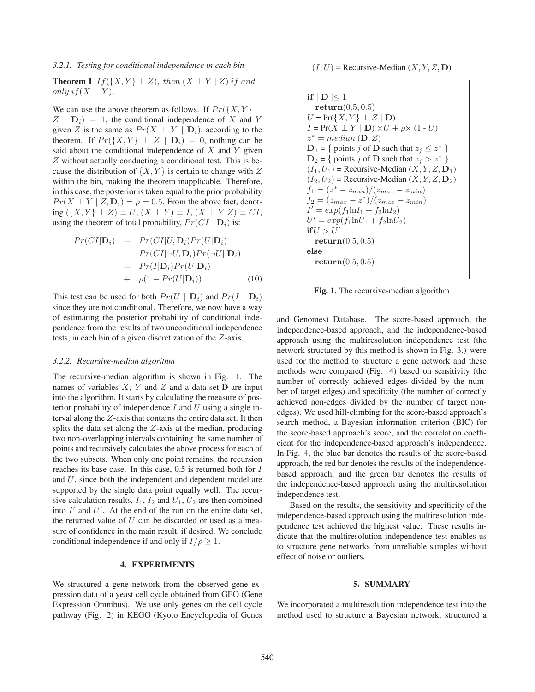### *3.2.1. Testing for conditional independence in each bin*

**Theorem 1** If( $\{X, Y\} \perp Z$ ), then  $(X \perp Y \mid Z)$  if and only if  $(X \perp Y)$ .

We can use the above theorem as follows. If  $Pr({X, Y} \perp$  $Z | D_i$  = 1, the conditional independence of X and Y given Z is the same as  $Pr(X \perp Y | D_i)$ , according to the theorem. If  $Pr({X, Y} \perp Z | D_i) = 0$ , nothing can be said about the conditional independence of  $X$  and  $Y$  given Z without actually conducting a conditional test. This is because the distribution of  $\{X, Y\}$  is certain to change with Z within the bin, making the theorem inapplicable. Therefore, in this case, the posterior is taken equal to the prior probability  $Pr(X \perp Y | Z, D_i) = \rho = 0.5$ . From the above fact, denoting  $({X, Y} \perp Z) \equiv U, (X \perp Y) \equiv I, (X \perp Y | Z) \equiv CI,$ using the theorem of total probability,  $Pr(CI | D_i)$  is:

$$
Pr(Cl|\mathbf{D}_i) = Pr(Cl|U, \mathbf{D}_i)Pr(U|\mathbf{D}_i) + Pr(Cl|\neg U, \mathbf{D}_i)Pr(\neg U||\mathbf{D}_i) = Pr(I|\mathbf{D}_i)Pr(U|\mathbf{D}_i) + \rho(1 - Pr(U|\mathbf{D}_i))
$$
(10)

This test can be used for both  $Pr(U | D_i)$  and  $Pr(I | D_i)$ since they are not conditional. Therefore, we now have a way of estimating the posterior probability of conditional independence from the results of two unconditional independence tests, in each bin of a given discretization of the Z-axis.

### *3.2.2. Recursive-median algorithm*

The recursive-median algorithm is shown in Fig. 1. The names of variables  $X$ ,  $Y$  and  $Z$  and a data set **D** are input into the algorithm. It starts by calculating the measure of posterior probability of independence  $I$  and  $U$  using a single interval along the Z-axis that contains the entire data set. It then splits the data set along the Z-axis at the median, producing two non-overlapping intervals containing the same number of points and recursively calculates the above process for each of the two subsets. When only one point remains, the recursion reaches its base case. In this case, 0.5 is returned both for I and U, since both the independent and dependent model are supported by the single data point equally well. The recursive calculation results,  $I_1$ ,  $I_2$  and  $U_1$ ,  $U_2$  are then combined into  $I'$  and  $U'$ . At the end of the run on the entire data set, the returned value of  $U$  can be discarded or used as a measure of confidence in the main result, if desired. We conclude conditional independence if and only if  $I/\rho \geq 1$ .

## **4. EXPERIMENTS**

We structured a gene network from the observed gene expression data of a yeast cell cycle obtained from GEO (Gene Expression Omnibus). We use only genes on the cell cycle pathway (Fig. 2) in KEGG (Kyoto Encyclopedia of Genes  $(I, U)$  = Recursive-Median  $(X, Y, Z, D)$ 

if 
$$
|D| \le 1
$$
  
\nreturn (0.5, 0.5)  
\n $U = Pr({X, Y} \perp Z | D)$   
\n $I = Pr(X \perp Y | D) \times U + \rho \times (1 - U)$   
\n $z^* = median(D, Z)$   
\n $D_1 = \{ \text{ points } j \text{ of } D \text{ such that } z_j \le z^* \}$   
\n $D_2 = \{ \text{ points } j \text{ of } D \text{ such that } z_j > z^* \}$   
\n $(I_1, U_1) = \text{Recursive-Median } (X, Y, Z, D_1)$   
\n $(I_2, U_2) = \text{Recursive-Median } (X, Y, Z, D_2)$   
\n $f_1 = (z^* - z_{min})/(z_{max} - z_{min})$   
\n $f_2 = (z_{max} - z^*)/(z_{max} - z_{min})$   
\n $I' = exp(f_1 \ln I_1 + f_2 \ln I_2)$   
\n $U' = exp(f_1 \ln U_1 + f_2 \ln U_2)$   
\nif  $U > U'$   
\nreturn (0.5, 0.5)  
\nelse  
\nreturn (0.5, 0.5)

**Fig. 1**. The recursive-median algorithm

and Genomes) Database. The score-based approach, the independence-based approach, and the independence-based approach using the multiresolution independence test (the network structured by this method is shown in Fig. 3.) were used for the method to structure a gene network and these methods were compared (Fig. 4) based on sensitivity (the number of correctly achieved edges divided by the number of target edges) and specificity (the number of correctly achieved non-edges divided by the number of target nonedges). We used hill-climbing for the score-based approach's search method, a Bayesian information criterion (BIC) for the score-based approach's score, and the correlation coefficient for the independence-based approach's independence. In Fig. 4, the blue bar denotes the results of the score-based approach, the red bar denotes the results of the independencebased approach, and the green bar denotes the results of the independence-based approach using the multiresolution independence test.

Based on the results, the sensitivity and specificity of the independence-based approach using the multiresolution independence test achieved the highest value. These results indicate that the multiresolution independence test enables us to structure gene networks from unreliable samples without effect of noise or outliers.

### **5. SUMMARY**

We incorporated a multiresolution independence test into the method used to structure a Bayesian network, structured a